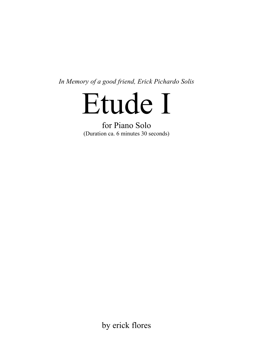*In Memory of a good friend, Erick Pichardo Solis*



## for Piano Solo (Duration ca. 6 minutes 30 seconds)

by erick flores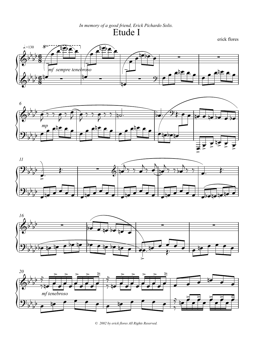In memory of a good friend, Erick Pichardo Solis.<br>  $Etude I$ 











© 2002 by erick flores All Rights Reserved.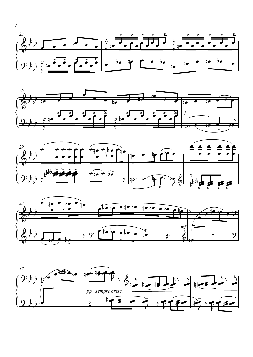







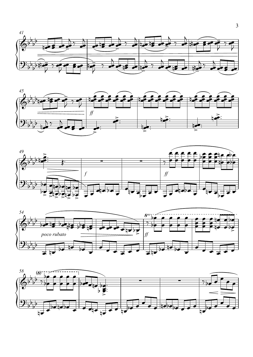